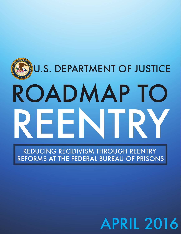# U.S. DEPARTMENT OF JUSTICE ROADMAP TO REENTR Y

REDUCING RECIDIVISM THROUGH REENTRY REFORMS AT THE FEDERAL BUREAU OF PRISONS

# APRIL 2016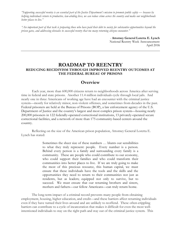*"Supporting successful reentry is an essential part of the Justice Department's mission to promote public safety — because by helping individuals return to productive, law-abiding lives, we can reduce crime across the country and make our neighborhoods better places to live."*

*"An important part of that task is preparing those who have paid their debt to society for substantive opportunities beyond the prison gates, and addressing obstacles to successful reentry that too many returning citizens encounter."*

> - **Attorney General Loretta E. Lynch** National Reentry Week Announcement April 2016

### **ROADMAP TO REENTRY REDUCING RECIDIVISM THROUGH IMPROVED REENTRY OUTCOMES AT THE FEDERAL BUREAU OF PRISONS**

## **Overview**

Each year, more than 600,000 citizens return to neighborhoods across America after serving time in federal and state prisons. Another 11.4 million individuals cycle through local jails. And nearly one in three Americans of working age have had an encounter with the criminal justice system—mostly for relatively minor, non-violent offenses, and sometimes from decades in the past. Federal prisoners are held at the Bureau of Prisons (BOP), a law enforcement agency of the U.S. Department of Justice and the country's largest and most complex prison system—housing nearly 200,000 prisoners in 122 federally-operated correctional institutions, 13 privately-operated secure correctional facilities, and a network of more than 175 community-based centers around the country.

Reflecting on the size of the American prison population, Attorney General Loretta E. Lynch has stated:

> Sometimes the sheer size of these numbers … blunts our sensibilities to what they truly represent: people. Every number is a person. Behind every person is a family and surrounding every family is a community. These are people who could contribute to our economy, who could support their families and who could transform their communities into better places to live. If we are truly going to make the most of this precious resource, this human capital, we must ensure that these individuals have the tools and the skills and the opportunities they need to return to their communities not just as residents, but as leaders; equipped not only to survive, but to succeed. We must ensure that our returning brothers and sisters, mothers and fathers—our fellow Americans—can truly return home.

The long-term impact of a criminal record prevents many people from obtaining employment, housing, higher education, and credit—and these barriers affect returning individuals even if they have turned their lives around and are unlikely to reoffend. These often-crippling barriers can contribute to a cycle of incarceration that makes it difficult for even the most wellintentioned individuals to stay on the right path and stay out of the criminal justice system. This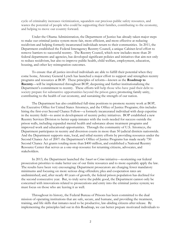cycle of criminality increases victimization, squanders our precious public safety resources, and wastes the potential of people who could be supporting their families, contributing to the economy, and helping to move our country forward.

Under the Obama Administration, the Department of Justice has already taken major steps to make our criminal justice system more fair, more efficient, and more effective at reducing recidivism and helping formerly incarcerated individuals return to their communities. In 2011, the Department established the Federal Interagency Reentry Council, a unique Cabinet-level effort to remove barriers to successful reentry. The Reentry Council, which now includes more than 20 federal departments and agencies, has developed significant policies and initiatives that aim not only to reduce recidivism, but also to improve public health, child welfare, employment, education, housing, and other key reintegration outcomes.

To ensure that all justice-involved individuals are able to fulfill their potential when they come home, Attorney General Lynch has launched a major effort to support and strengthen reentry programs and resources at BOP. These principles of reform—known as the **Roadmap to Reentry**—will be implemented throughout BOP, deepening and further institutionalizing the Department's commitment to reentry. These efforts will help those who have paid their debt to society prepare for substantive opportunities beyond the prison gates; promoting family unity, contributing to the health of our economy, and sustaining the strength of our nation.

The Department has also established full-time positions to promote reentry work at BOP, the Executive Office for United States Attorneys, and the Office of Justice Programs; this includes hiring the first-ever Second Chance Fellow—a formerly incarcerated individual with deep expertise in the reentry field—to assist in development of reentry policy initiatives. BOP established a new Reentry Services Division to better equip inmates with the tools needed for success outside the prison walls, including expanded mental health and substance abuse treatment programs and improved work and educational opportunities. Through the community of U.S. Attorneys, the Department participates in reentry and diversion courts in more than 50 judicial districts nationwide. And the Department supports state, local, and tribal reentry efforts by providing resources under the Second Chance Act of 2007: the Department's Office of Justice Programs has made nearly 750 Second Chance Act grants totaling more than \$400 million, and established a National Reentry Resource Center that serves as a one-stop resource for returning citizens, advocates, and stakeholders.

In 2013, the Department launched the *Smart on Crime* initiative—reorienting our federal prosecution priorities to make better use of our finite resources and to more equitably apply the law. The results have been very encouraging: Department prosecutors are charging fewer mandatory minimums and focusing on more serious drug offenders; plea and cooperation rates are undiminished; and, after nearly 40 years of growth, the federal prison population has declined for the second consecutive year. But, to truly serve the public good, the Department cannot only be concerned with innovations related to prosecutions and entry into the criminal justice system; we must focus on those who are leaving it as well.

Throughout its history, the Federal Bureau of Prisons has been committed to the dual mission of operating institutions that are safe, secure, and humane, and providing the treatment, training, and life skills that inmates need to be productive, law-abiding citizens after release. By implementing the principles laid out in this Roadmap, we can better prepare motivated individuals to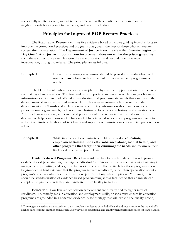successfully reenter society; we can reduce crime across the country; and we can make our neighborhoods better places to live, work, and raise our children.

# **Principles for Improved BOP Reentry Practices**

The Roadmap to Reentry identifies five evidence-based principles guiding federal efforts to improve the correctional practices and programs that govern the lives of those who will reenter society after incarceration. **The Department of Justice takes the view that "reentry begins on Day One." And, just as important, our involvement does not end at the prison gates.** As such, these corrections principles span the cycle of custody and beyond: from intake, to incarceration, through to release. The principles are as follows:

**Principle I:** Upon incarceration, every inmate should be provided an **individualized reentry plan** tailored to his or her risk of recidivism and programmatic needs.

The Department embraces a corrections philosophy that reentry preparation must begin on the first day of incarceration. The first, and most important, step in reentry planning is obtaining information about an individual's risk of recidivating and programmatic needs that can inform the development of an individualized reentry plan. This assessment—which is currently under development at BOP—should include a review of the key information about an incarcerated person's criminogenic needs, such as criminal history, substance abuse history, and education level.<sup>[1](#page-3-0)</sup> After such an assessment, an incarcerated person should receive an individualized case plan, designed to help corrections staff deliver staff deliver targeted services and programs necessary to reduce the inmate's likelihood of recidivism and support each inmate's successful reintegration upon release.

**Principle II:** While incarcerated, each inmate should be provided **education, employment training, life skills, substance abuse, mental health, and other programs that target their criminogenic needs** and maximize their likelihood of success upon release.

**Evidence-based Programs.** Recidivism risk can be effectively reduced through proven evidence-based programming that targets individuals' criminogenic needs, such as courses on anger management, parenting, and cognitive behavioral therapy. The curricula for these programs should be grounded in hard evidence that the program reduces recidivism, rather than speculation about a program's positive outcomes or a desire to keep inmates busy while in prison. Moreover, there should be standardization of evidence-based programming across facilities so that an inmate can complete programs even if they are transferred from facility to facility.

**Education**. Low levels of education achievement are directly tied to higher rates of recidivism. To remedy gaps in education and employment skills, prisons must ensure its education programs are grounded in a concrete, evidence-based strategy that will expand the quality, scope,

 $\overline{a}$ 

<span id="page-3-0"></span><sup>1</sup> Criminogenic needs are characteristics, traits, problems, or issues of an individual that directly relate to the individual's likelihood to commit another crime, such as low levels of educational and employment performance, or substance abuse.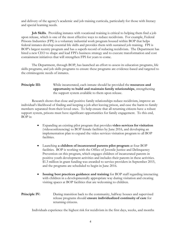and delivery of the agency's academic and job training curricula, particularly for those with literacy and special learning needs.

**Job Skills**. Providing inmates with vocational training is critical to helping them find a job upon release, which is one of the most effective ways to reduce recidivism. For example, Federal Prisons Industries (FPI) is a voluntary industrial work program housed within BOP that helps federal inmates develop essential life skills and provides them with sustained job training. FPI is BOP's largest reentry program and has a superb record of reducing recidivism. The Department has hired a new CEO to shape and lead FPI's business strategy and to execute transformation and cost containment initiatives that will strengthen FPI for years to come.

The Department, through BOP, has launched an effort to assess its education programs, life skills programs, and job skills programs to ensure these programs are evidence-based and targeted to the criminogenic needs of inmates.

### **Principle III:** While incarcerated, each inmate should be provided the **resources and opportunity to build and maintain family relationships**, strengthening the support system available to them upon release.

Research shows that close and positive family relationships reduce recidivism, improve an individual's likelihood of finding and keeping a job after leaving prison, and ease the harm to family members separated from their loved ones. To help ensure that all returning citizens have a robust support system, prisons must have significant opportunities for family engagement. To this end, BOP is:

- Expanding an existing pilot program that provides **video services for visitation** (videoconferencing) to BOP female facilities by June 2016, and developing an implementation plan to expand the video services visitation program to all BOP facilities.
- Launching **a children of incarcerated parents pilot program** at four BOP facilities. BOP is working with the Office of Juvenile Justice and Delinquency Prevention on this program, which engages children of incarcerated parents in positive youth development activities and includes their parents in these activities. \$1.3 million in grant funding was awarded to service providers in September 2015, and the programs are scheduled to begin in June 2016.
- **Issuing best practices guidance and training** for BOP staff regarding interacting with children in a developmentally appropriate way during visitation and creating visiting spaces at BOP facilities that are welcoming to children.
- **Principle IV:** During transition back to the community, halfway houses and supervised release programs should **ensure individualized continuity of care** for returning citizens.

Individuals experience the highest risk for recidivism in the first days, weeks, and months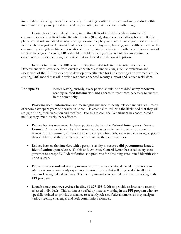immediately following release from custody. Providing continuity of care and support during this important reentry time period is crucial to preventing individuals from reoffending.

Upon release from federal prison, more than 80% of individuals who return to U.S. communities reside at Residential Reentry Centers (RRCs), also known as halfway houses. RRCs play a central role in federal reentry strategy because they help stabilize the newly-released individual as he or she readjusts to life outside of prison; seeks employment, housing, and healthcare within the community; strengthens his or her relationships with family members and others; and faces a host of reentry challenges. As such, RRCs should be held to the highest standards for improving the experience of residents during the critical first weeks and months outside prison.

In order to ensure that RRCs are fulfilling their vital role in the reentry process, the Department, with assistance from outside consultants, is undertaking a robust evaluation and assessment of the RRC experience to develop a specific plan for implementing improvements to the existing RRC model that will provide residents enhanced reentry support and reduce recidivism.

### **Principle V:** Before leaving custody, every person should be provided **comprehensive reentry-related information and access to resources** necessary to succeed in the community.

Providing useful information and meaningful guidance to newly-released individuals—many of whom have spent years or decades in prison—is essential to reducing the likelihood that they will struggle during their transition and reoffend. For this reason, the Department has coordinated a multi-agency, multi-disciplinary effort to:

- Reduce barriers to reentry. In her capacity as chair of the **Federal Interagency Reentry Council**, Attorney General Lynch has worked to remove federal barriers to successful reentry so that returning citizens are able to compete for a job, attain stable housing, support their children and their families, and contribute to their communities.
- Reduce barriers that interfere with a person's ability to secure **valid government-issued identification** upon release. To this end, Attorney General Lynch has asked every state governor to accept BOP identification as a predicate for obtaining state-issued identification upon release.
- Publish a new **standard reentry manual** that provides specific, detailed instructions and advice on issues commonly experienced during reentry that will be provided to all U.S. citizens leaving federal facilities. The reentry manual was printed by inmates working in the FPI program.
- Launch a new **reentry services hotline (1-877-895-9196)** to provide assistance to recently released individuals. This hotline is staffed by inmates working in the FPI program who are specially-trained to provide assistance to recently released federal inmates as they navigate various reentry challenges and seek community resources.

\*\*\*